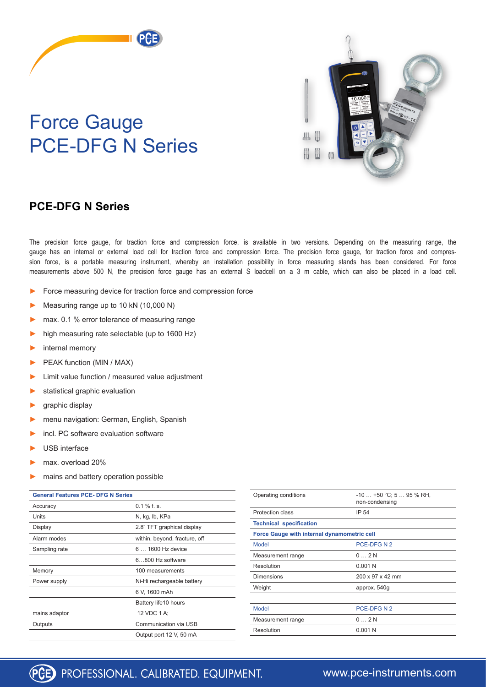## Force Gauge PCE-DFG N Series



## **PCE-DFG N Series**

The precision force gauge, for traction force and compression force, is available in two versions. Depending on the measuring range, the gauge has an internal or external load cell for traction force and compression force. The precision force gauge, for traction force and compression force, is a portable measuring instrument, whereby an installation possibility in force measuring stands has been considered. For force measurements above 500 N, the precision force gauge has an external S loadcell on a 3 m cable, which can also be placed in a load cell.

- Force measuring device for traction force and compression force
- Measuring range up to 10 kN (10,000 N)
- max. 0.1 % error tolerance of measuring range
- high measuring rate selectable (up to 1600 Hz)
- internal memory
- PEAK function (MIN / MAX)
- Limit value function / measured value adjustment
- statistical graphic evaluation
- graphic display
- menu navigation: German, English, Spanish
- incl. PC software evaluation software
- USB interface
- max. overload 20%
- mains and battery operation possible

| <b>General Features PCE- DFG N Series</b> |                               |
|-------------------------------------------|-------------------------------|
| Accuracy                                  | $0.1 \%$ f. s.                |
| Units                                     | N, kg, lb, KPa                |
| Display                                   | 2.8" TFT graphical display    |
| Alarm modes                               | within, beyond, fracture, off |
| Sampling rate                             | 6  1600 Hz device             |
|                                           | 6800 Hz software              |
| Memory                                    | 100 measurements              |
| Power supply                              | Ni-Hi rechargeable battery    |
|                                           | 6 V, 1600 mAh                 |
|                                           | Battery life10 hours          |
| mains adaptor                             | 12 VDC 1 A;                   |
| Outputs                                   | Communication via USB         |
|                                           | Output port 12 V, 50 mA       |

| Operating conditions                        | $-10+50$ °C; 5  95 % RH,<br>non-condensing |  |
|---------------------------------------------|--------------------------------------------|--|
| Protection class                            | IP 54                                      |  |
| <b>Technical specification</b>              |                                            |  |
| Force Gauge with internal dynamometric cell |                                            |  |
| <b>Model</b>                                | PCE-DFG N 2                                |  |
| Measurement range                           | $0 \dots 2N$                               |  |
| Resolution                                  | 0.001N                                     |  |
| Dimensions                                  | 200 x 97 x 42 mm                           |  |
| Weight                                      | approx. 540g                               |  |
|                                             |                                            |  |
| <b>Model</b>                                | PCE-DFG N 2                                |  |
| Measurement range                           | $0 \dots 2N$                               |  |
| Resolution                                  | 0.001N                                     |  |
|                                             |                                            |  |



## [www.pce-instruments.com](https://www.pce-instruments.com/english/measuring-instruments/test-meters/force-gauge-digital-force-gauge-kat_40066.htm)